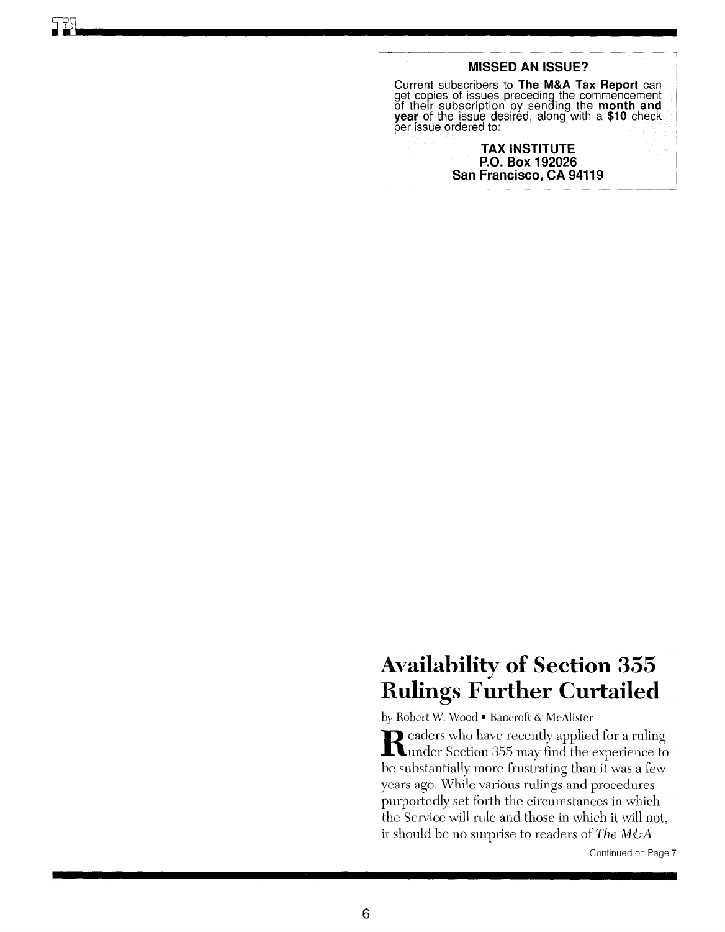## **Availability of Section 355 Rulings Further Curtailed**

by Robert W. Wood- Bancroft & McAlister

Readers who have recently applied for a ruling<br>
under Section 355 may find the experience to be substantially more frustrating than it was a few years ago. While various rulings and procedures purportedly set forth the circumstances in which the Service will rule and those in which it will not, it should be no surprise to readers of *The M&A* 

Continued on Page 7